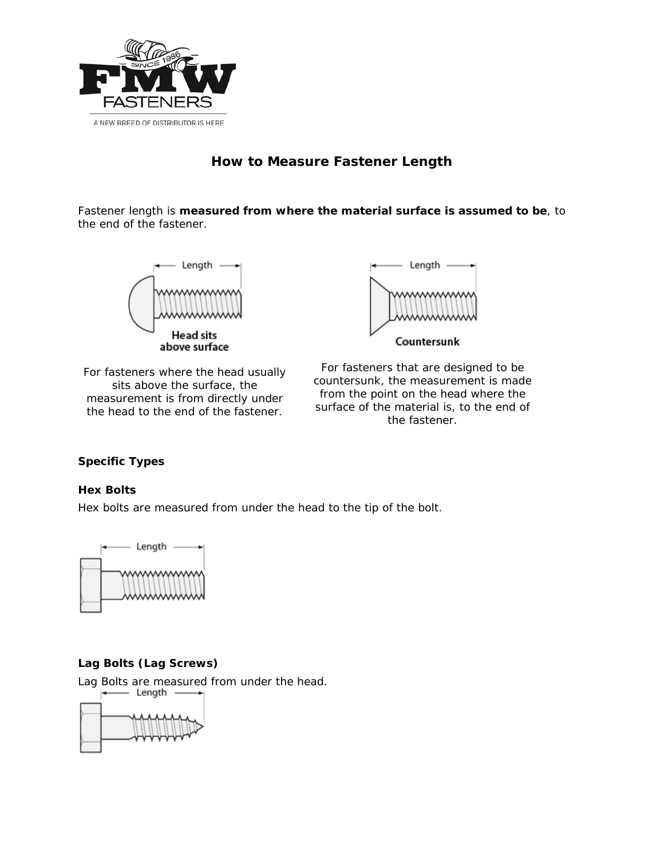

# **How to Measure Fastener Length**

Fastener length is **measured from where the material surface is assumed to be**, to the end of the fastener.



For fasteners where the head usually sits above the surface, the measurement is from directly under the head to the end of the fastener.



For fasteners that are designed to be countersunk, the measurement is made from the point on the head where the surface of the material is, to the end of the fastener.

### **Specific Types**

#### **Hex Bolts**

Hex bolts are measured from under the head to the tip of the bolt.



### **Lag Bolts (Lag Screws)**

Lag Bolts are measured from under the head.

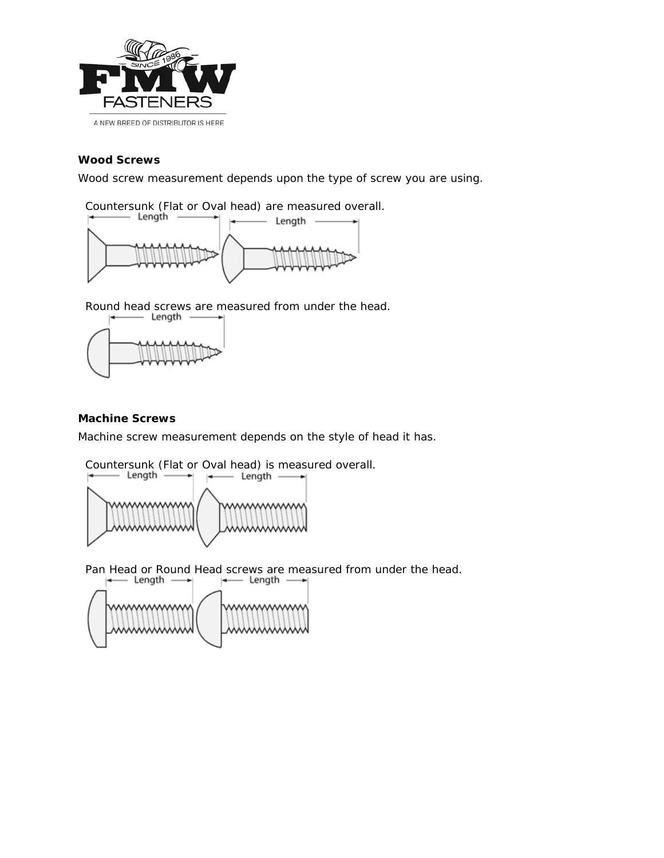

### **Wood Screws**

Wood screw measurement depends upon the type of screw you are using.

Countersunk (Flat or Oval head) are measured overall.



Round head screws are measured from under the head.<br> $\leftarrow$  Length  $\leftarrow$  |



#### **Machine Screws**

Machine screw measurement depends on the style of head it has.

Countersunk (Flat or Oval head) is measured overall.<br> $\left| \begin{array}{ccc} \leftarrow & \text{Length} & \rightarrow \\ \left| \begin{array}{ccc} \leftarrow & \text{Length} & \rightarrow \\ \end{array} \right| & \left| \begin{array}{ccc} \leftarrow & \text{Length} & \rightarrow \\ \end{array} \right| & \left| \begin{array}{ccc} \leftarrow & \text{Length} & \rightarrow \\ \end{array} \right| & \left| \begin{array}{ccc} \leftarrow & \text{Length} & \rightarrow \\ \end{array} \right| & \left| \begin{array}{ccc} \leftarrow & \text$ 



Pan Head or Round Head screws are measured from under the head.<br> $\begin{array}{r} \hline \text{Hence} \\ \hline \end{array}$ H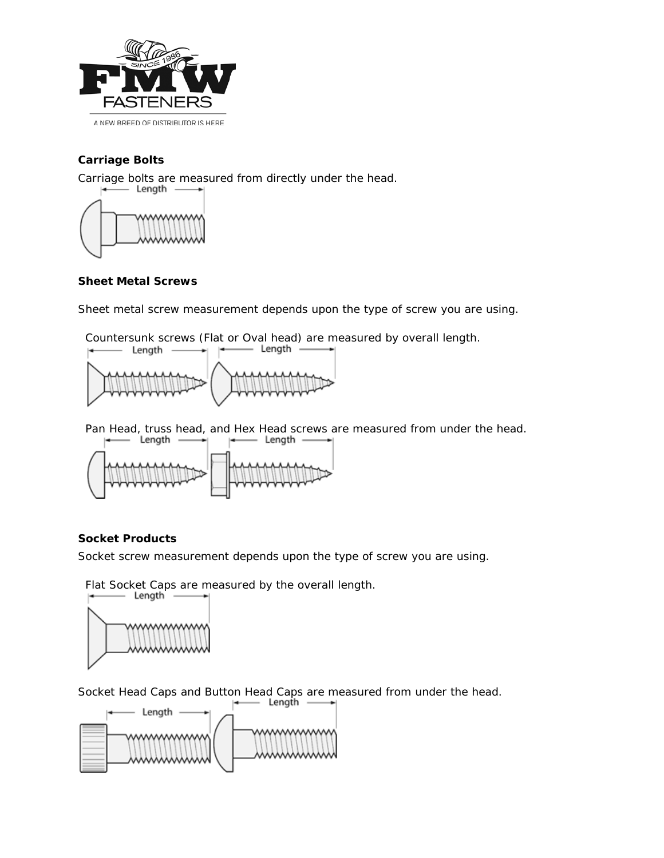

## **Carriage Bolts**

Carriage bolts are measured from directly under the head.



### **Sheet Metal Screws**

Sheet metal screw measurement depends upon the type of screw you are using.

Countersunk screws (Flat or Oval head) are measured by overall length.



Pan Head, truss head, and Hex Head screws are measured from under the head.<br>  $\begin{array}{ccc}\n\downarrow \longrightarrow & \text{Length} & \longrightarrow & \text{Length} & \longrightarrow \\
\end{array}$ 



### **Socket Products**

Socket screw measurement depends upon the type of screw you are using.

Flat Socket Caps are measured by the overall length.



Socket Head Caps and Button Head Caps are measured from under the head.<br> $\begin{array}{r} \hline \text{Length} & \longrightarrow \\ \hline \end{array}$